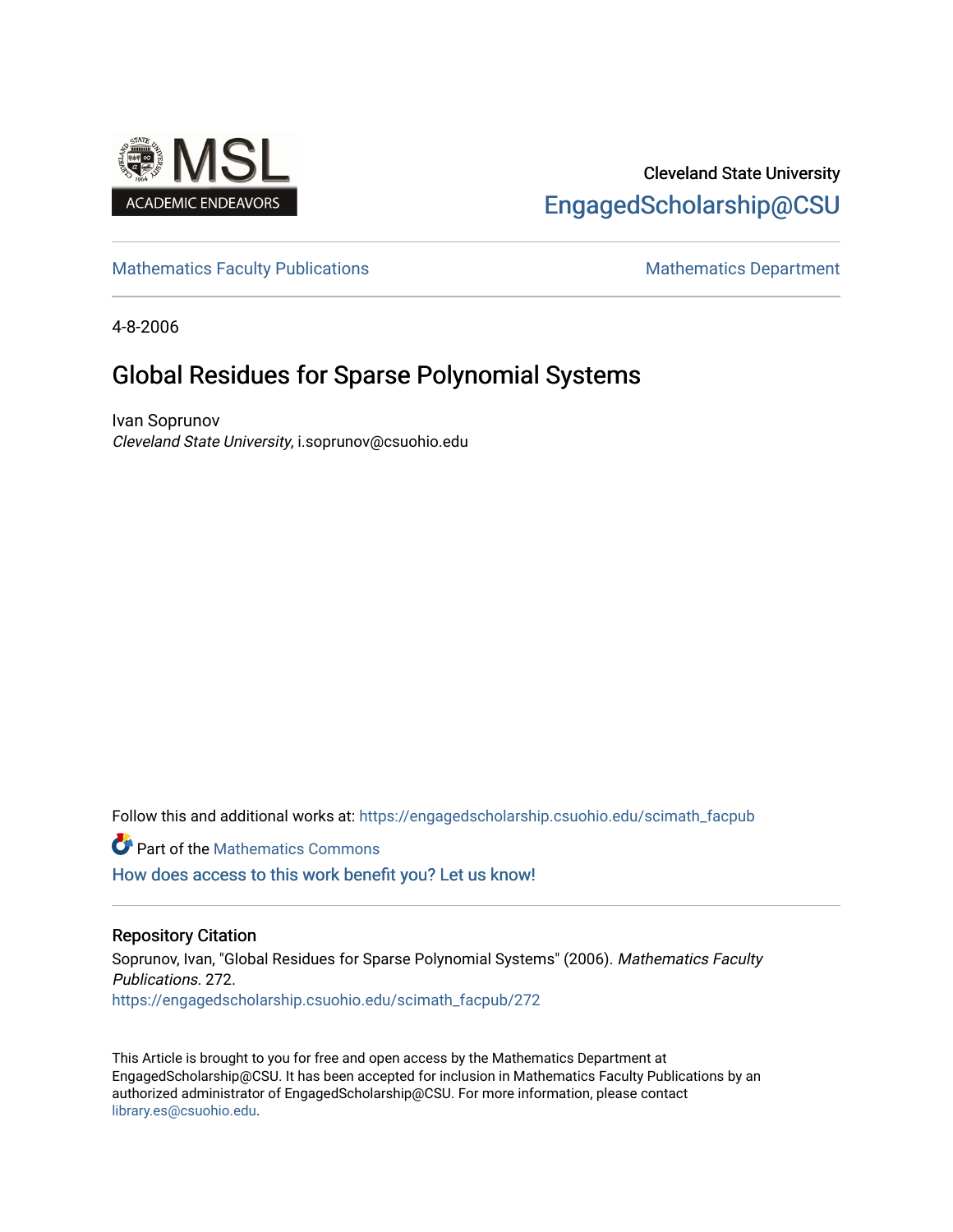

# Cleveland State University [EngagedScholarship@CSU](https://engagedscholarship.csuohio.edu/)

## [Mathematics Faculty Publications](https://engagedscholarship.csuohio.edu/scimath_facpub) Mathematics Department

4-8-2006

# Global Residues for Sparse Polynomial Systems

Ivan Soprunov Cleveland State University, i.soprunov@csuohio.edu

Follow this and additional works at: [https://engagedscholarship.csuohio.edu/scimath\\_facpub](https://engagedscholarship.csuohio.edu/scimath_facpub?utm_source=engagedscholarship.csuohio.edu%2Fscimath_facpub%2F272&utm_medium=PDF&utm_campaign=PDFCoverPages)

Part of the [Mathematics Commons](http://network.bepress.com/hgg/discipline/174?utm_source=engagedscholarship.csuohio.edu%2Fscimath_facpub%2F272&utm_medium=PDF&utm_campaign=PDFCoverPages)

[How does access to this work benefit you? Let us know!](http://library.csuohio.edu/engaged/)

### Repository Citation

Soprunov, Ivan, "Global Residues for Sparse Polynomial Systems" (2006). Mathematics Faculty Publications. 272. [https://engagedscholarship.csuohio.edu/scimath\\_facpub/272](https://engagedscholarship.csuohio.edu/scimath_facpub/272?utm_source=engagedscholarship.csuohio.edu%2Fscimath_facpub%2F272&utm_medium=PDF&utm_campaign=PDFCoverPages) 

This Article is brought to you for free and open access by the Mathematics Department at EngagedScholarship@CSU. It has been accepted for inclusion in Mathematics Faculty Publications by an authorized administrator of EngagedScholarship@CSU. For more information, please contact [library.es@csuohio.edu.](mailto:library.es@csuohio.edu)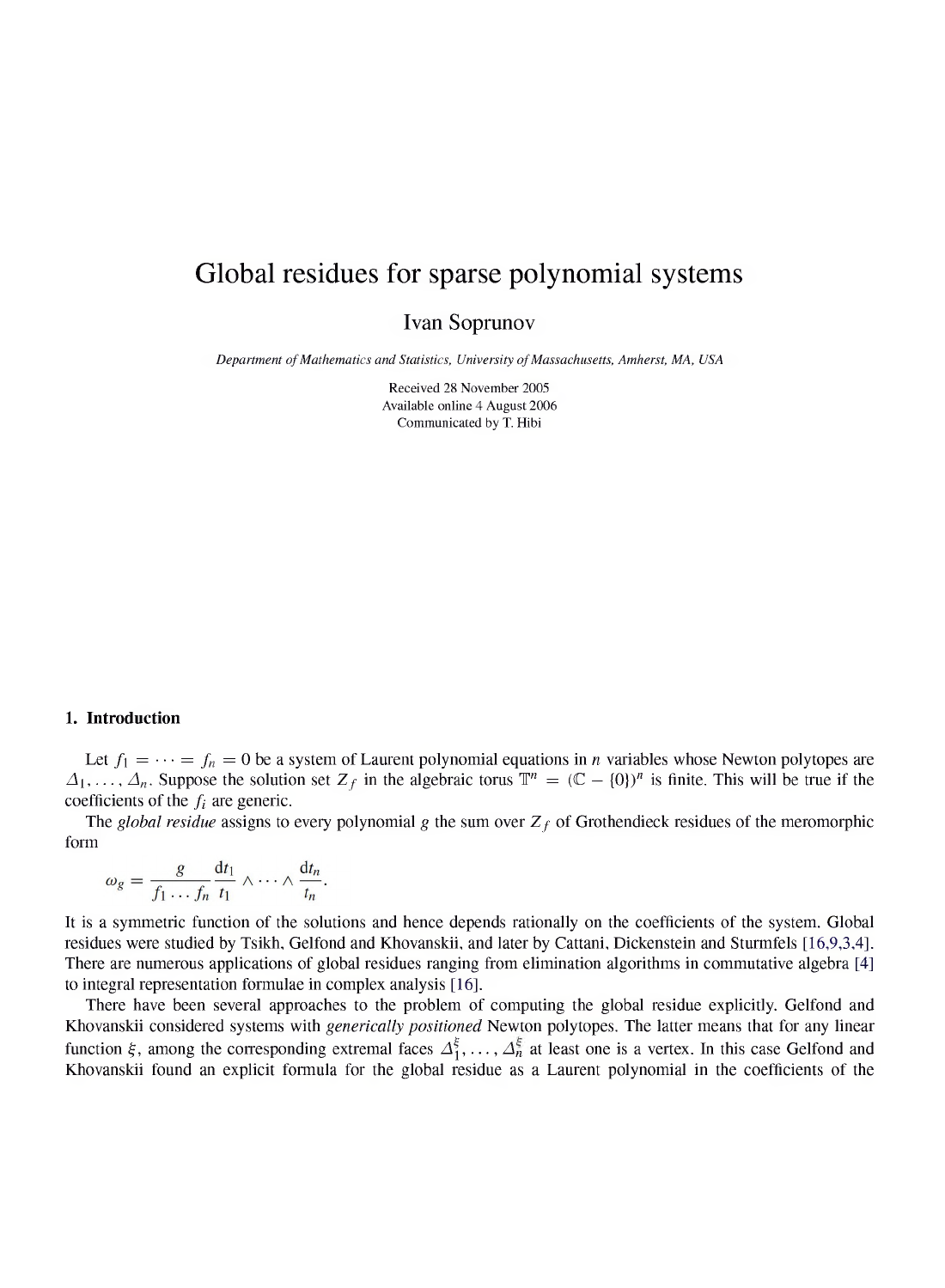## *Global residues for sparse polynomial systems*

*Ivan Soprunov*

*Department ofMathematics and Statistics, University ofMassachusetts, Amherst, MA, USA*

*Received 28 November 2005 Available online 4 August 2006 Communicated by T. Hibi*

#### *1. Introduction*

Let  $f_1 = \cdots = f_n = 0$  be a system of Laurent polynomial equations in *n* variables whose Newton polytopes are  $\Delta_1, \ldots, \Delta_n$ . Suppose the solution set  $Z_f$  in the algebraic torus  $\mathbb{T}^n = (\mathbb{C} - \{0\})^n$  is finite. This will be true if the coefficients of the  $f_i$  are generic. coefficients of the  $f_i$  are generic.<br>The *global residue* assigns to every polynomial g the sum over  $Z_f$  of Grothendieck residues of the meromorphic

*form*

$$
\omega_g = \frac{g}{f_1 \dots f_n} \frac{dt_1}{t_1} \wedge \dots \wedge \frac{dt_n}{t_n}.
$$

It is a symmetric function of the solutions and hence depends rationally on the coefficients of the system. Global residues were studied by Tsikh, Gelfond and Khovanskii, and later by Cattani, Dickenstein and Sturmfels [16,9,3,4]. *There are numerous applications of global residues ranging from elimination algorithms in commutative algebra [4] to integral representation formulae in complex analysis [16].*

*There have been several approaches to the problem of computing the global residue explicitly. Gelfond and Khovanskii considered systems with generically positioned Newton polytopes. The latter means that for any linear* function  $\xi$ , among the corresponding extremal faces  $\Delta_1^{\xi}, \ldots, \Delta_n^{\xi}$  at least one is a vertex. In this case Gelfond and Khovanskii found an explicit formula for the global residue as a Laurent polynomial in the coefficients of the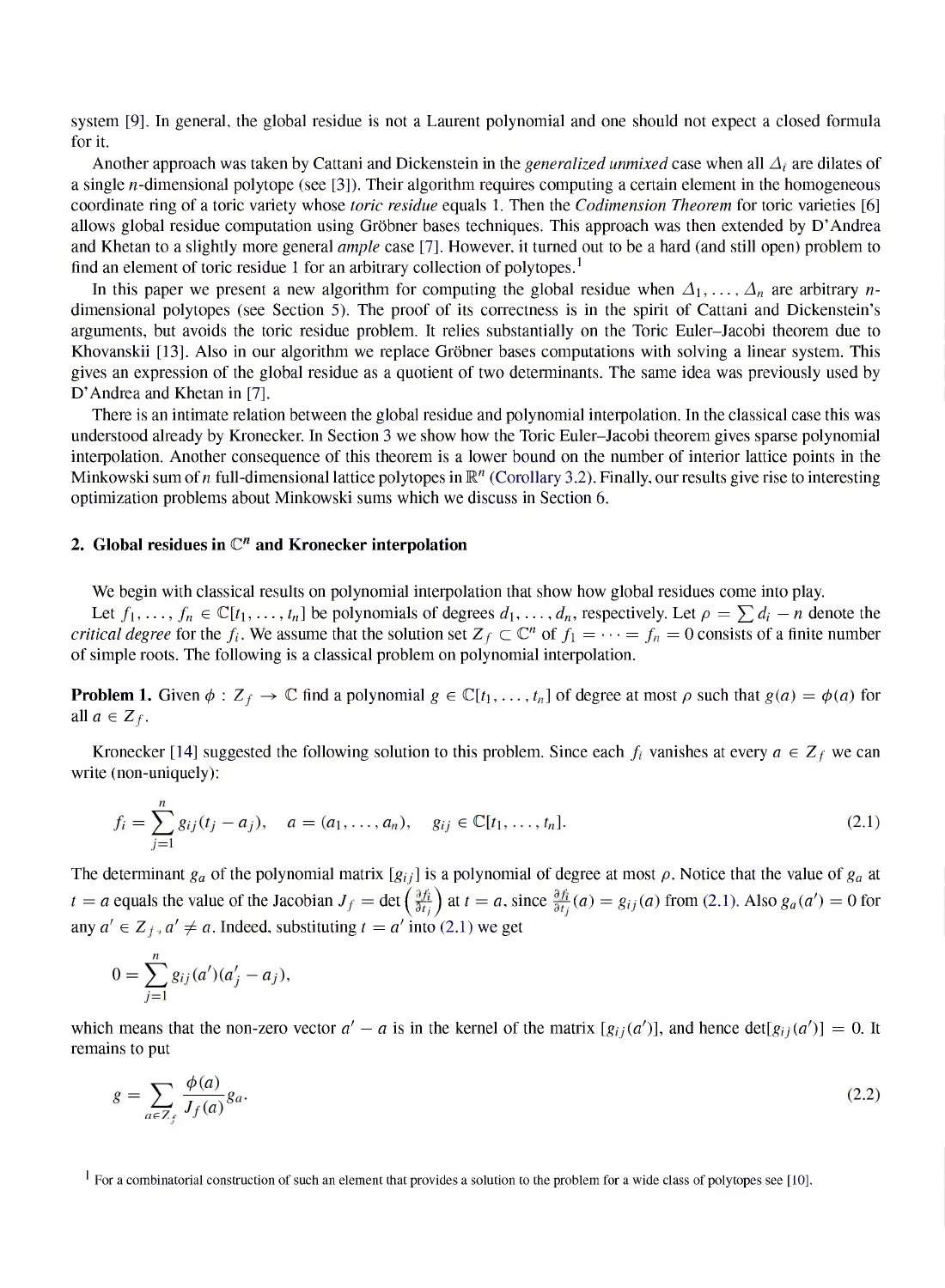system [9]. In general, the global residue is not a Laurent polynomial and one should not expect a closed formula *for it.*

Another approach was taken by Cattani and Dickenstein in the *generalized unmixed* case when all  $\Delta_i$  are dilates of a single *n*-dimensional polytope (see [3]). Their algorithm requires computing a certain element in the homogeneous coordinate ring of a toric variety whose *toric residue* equals 1. Then the *Codimension Theorem* for toric varieties [6] allows global residue computation using Gröbner bases techniques. This approach was then extended by D'Andrea and Khetan to a slightly more general *ample* case [7]. However, it turned out to be a hard (and still open) problem to *find an element of toric residue <sup>1</sup> for an arbitrary collection of polytopes.<sup>1</sup>*

In this paper we present a new algorithm for computing the global residue when  $\Delta_1, \ldots, \Delta_n$  are arbitrary *n*dimensional polytopes (see Section 5). The proof of its correctness is in the spirit of Cattani and Dickenstein's arguments, but avoids the toric residue problem. It relies substantially on the Toric Euler-Jacobi theorem due to Khovanskii [13]. Also in our algorithm we replace Gröbner bases computations with solving a linear system. This gives an expression of the global residue as a quotient of two determinants. The same idea was previously used by *D' Andrea and Khetan in [7].*

There is an intimate relation between the global residue and polynomial interpolation. In the classical case this was understood already by Kronecker. In Section 3 we show how the Toric Euler-Jacobi theorem gives sparse polynomial interpolation. Another consequence of this theorem is a lower bound on the number of interior lattice points in the Minkowski sum of *n* full-dimensional lattice polytopes in  $\mathbb{R}^n$  (Corollary 3.2). Finally, our results give rise to interesting *optimization problems about Minkowski sums which we discuss in Section 6.*

### *2. Global residues in Cn and Kronecker interpolation*

*We begin with classical results on polynomial interpolation that show how global residues come into play.*

Let  $f_1, \ldots, f_n \in \mathbb{C}[t_1, \ldots, t_n]$  be polynomials of degrees  $d_1, \ldots, d_n$ , respectively. Let  $\rho = \sum d_i - n$  denote the *critical degree* for the  $f_i$ . We assume that the solution set  $Z_f \subset \mathbb{C}^n$  of  $f_1 = \cdots = f_n = 0$  consists of a finite number *of simple roots. The following is a classical problem on polynomial interpolation.*

**Problem 1.** Given  $\phi$  :  $Z_f \to \mathbb{C}$  find a polynomial  $g \in \mathbb{C}[t_1,\ldots,t_n]$  of degree at most  $\rho$  such that  $g(a) = \phi(a)$  for *all*  $a \in Z_f$ .

Kronecker [14] suggested the following solution to this problem. Since each  $f_i$  vanishes at every  $a \in Z_f$  we can *write (non-uniquely):*

$$
f_i = \sum_{j=1}^n g_{ij}(t_j - a_j), \quad a = (a_1, \dots, a_n), \quad g_{ij} \in \mathbb{C}[t_1, \dots, t_n].
$$
\n(2.1)

The determinant  $g_a$  of the polynomial matrix  $[g_{ij}]$  is a polynomial of degree at most  $\rho$ . Notice that the value of  $g_a$  at  $t = a$  equals the value of the Jacobian  $J_f = \det \left( \frac{\partial f_i}{\partial t_i} \right)$  at  $t = a$ , since  $\frac{\partial f_i}{\partial t_i}(a) = g_{ij}(a)$  from (2.1). Also  $g_a(a') = 0$  for any  $a' \in Z_f$ ,  $a' \neq a$ . Indeed, substituting  $t = a'$  into (2.1) we get

$$
0 = \sum_{j=1}^{n} g_{ij}(a')(a'_{j} - a_{j}),
$$

which means that the non-zero vector  $a' - a$  is in the kernel of the matrix  $[g_{ij}(a')]$ , and hence  $det[g_{ij}(a')] = 0$ . It *remains to put*

$$
g = \sum_{a \in \mathbb{Z}_f} \frac{\phi(a)}{J_f(a)} g_a.
$$
\n
$$
(2.2)
$$

 $\frac{1}{2}$  For a combinatorial construction of such an element that provides a solution to the problem for a wide class of polytopes see [10].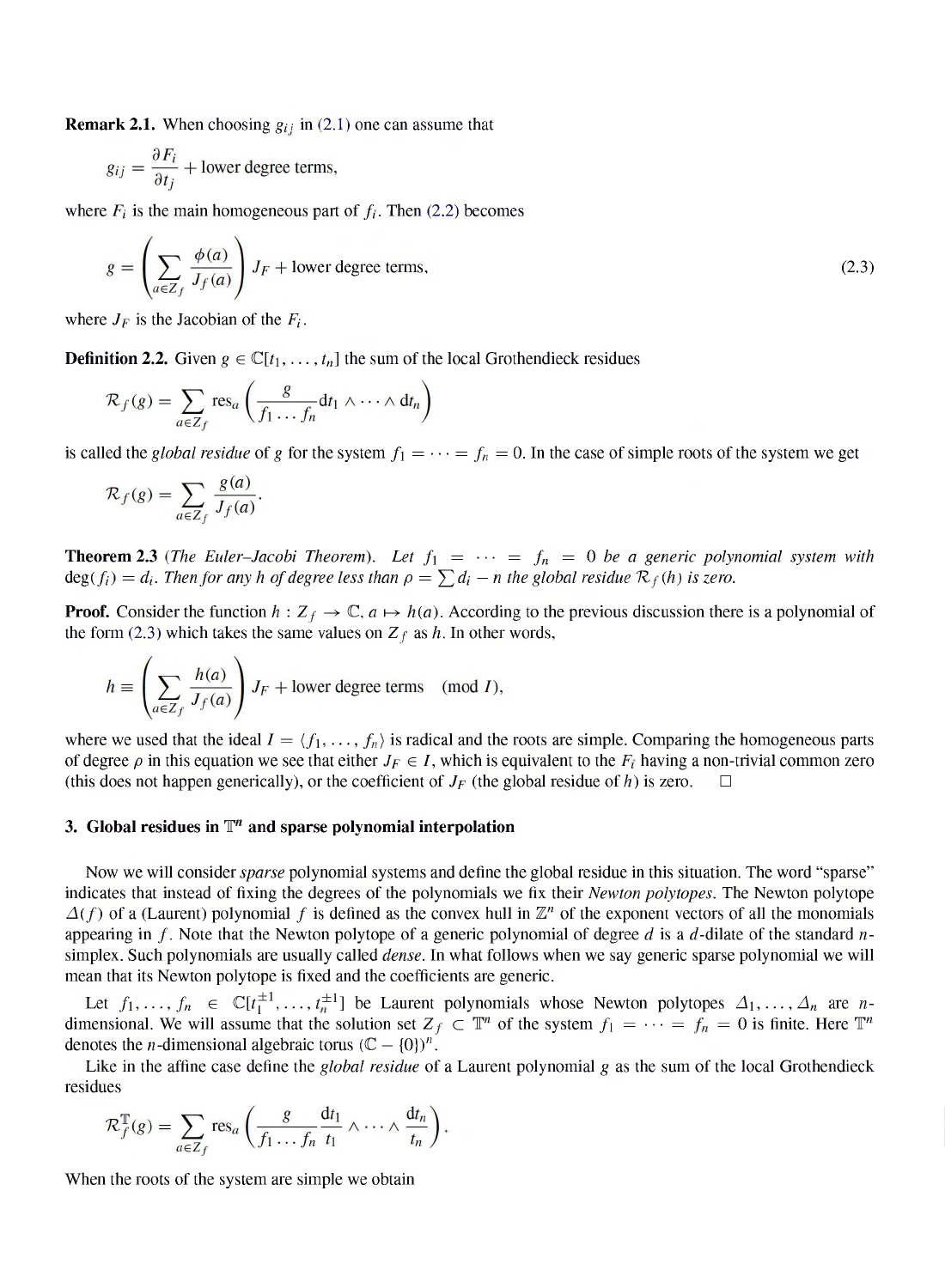*Remark 2.1. When choosing gij in (2.1) one can assume that*

$$
g_{ij} = \frac{\partial F_i}{\partial t_i} + \text{lower degree terms},
$$

where  $F_i$  is the main homogeneous part of  $f_i$ . Then (2.2) becomes

$$
g = \left(\sum_{a \in Z_f} \frac{\phi(a)}{J_f(a)}\right) J_F + \text{lower degree terms},\tag{2.3}
$$

where  $J_F$  is the Jacobian of the  $F_i$ .

*Definition* 2.2. *Given*  $g \in \mathbb{C}[t_1, \ldots, t_n]$  *the sum of the local Grothendieck residues* 

$$
\mathcal{R}_f(g) = \sum_{a \in \mathbb{Z}_f} \text{res}_a\left(\frac{g}{f_1 \dots f_n} \mathrm{d} t_1 \wedge \dots \wedge \mathrm{d} t_n\right)
$$

is called the *global residue* of g for the system  $f_1 = \cdots = f_n = 0$ . In the case of simple roots of the system we get

$$
\mathcal{R}_f(g) = \sum_{a \in Z_f} \frac{g(a)}{J_f(a)}.
$$

**Theorem 2.3** (The Euler-Jacobi Theorem). Let  $f_1 = \cdots = f_n = 0$  be a generic polynomial system with  $deg(f_i) = d_i$ . Then for any h of degree less than  $\rho = \sum d_i - n$  the global residue  $\mathcal{R}_f(h)$  is zero.

**Proof.** Consider the function  $h: Z_f \to \mathbb{C}$ ,  $a \mapsto h(a)$ . According to the previous discussion there is a polynomial of *the form* (2.3) which *takes the same* values on  $Z_f$  *as h*. In other words,

$$
h \equiv \left(\sum_{a \in Z_f} \frac{h(a)}{J_f(a)}\right) J_F + \text{lower degree terms} \pmod{I},
$$

where we used that the ideal  $I = \langle f_1, \ldots, f_n \rangle$  is radical and the roots are simple. Comparing the homogeneous parts of degree  $\rho$  in this equation we see that either  $J_F \in I$ , which is equivalent to the  $F_i$  having a non-trivial common zero *(this* does not happen generically), or the coefficient of  $J_F$  (the global residue of h) is zero.

#### *3. Global residues in <sup>T</sup>n and sparse polynomial interpolation*

Now we will consider *sparse* polynomial systems and define the global residue in this situation. The word "sparse" indicates that instead of fixing the degrees of the polynomials we fix their *Newton polytopes*. The Newton polytope  $\Delta(f)$  of a (Laurent) polynomial f is defined as the convex hull in  $\mathbb{Z}^n$  of the exponent vectors of all the monomials appearing in f. Note that the Newton polytope of a generic polynomial of degree d is a d-dilate of the standard  $n$ simplex. Such polynomials are usually called *dense*. In what follows when we say generic sparse polynomial we will *mean that its Newton polytope is fixed and the coefficients are generic.*

Let  $f_1, ..., f_n \in \mathbb{C}[t_1^{\pm 1}, ..., t_n^{\pm 1}]$  be Laurent polynomials whose Newton polytopes  $\Delta_1, ..., \Delta_n$  are *n*dimensional. We will assume that the solution set  $Z_f \subset \mathbb{T}^n$  of the system  $f_1 = \cdots = f_n = 0$  is finite. Here  $\mathbb{T}^n$ *denotes* the *n*-dimensional algebraic torus  $(C - \{0\})^n$ .

Like in the affine case define the *global residue* of a Laurent polynomial g as the sum of the local Grothendieck *residues*

$$
\mathcal{R}_f^{\mathbb{T}}(g) = \sum_{a \in \mathbb{Z}_f} \text{res}_a \left( \frac{g}{f_1 \dots f_n} \frac{\mathrm{d}t_1}{t_1} \wedge \dots \wedge \frac{\mathrm{d}t_n}{t_n} \right).
$$

*When the roots of the system are simple we obtain*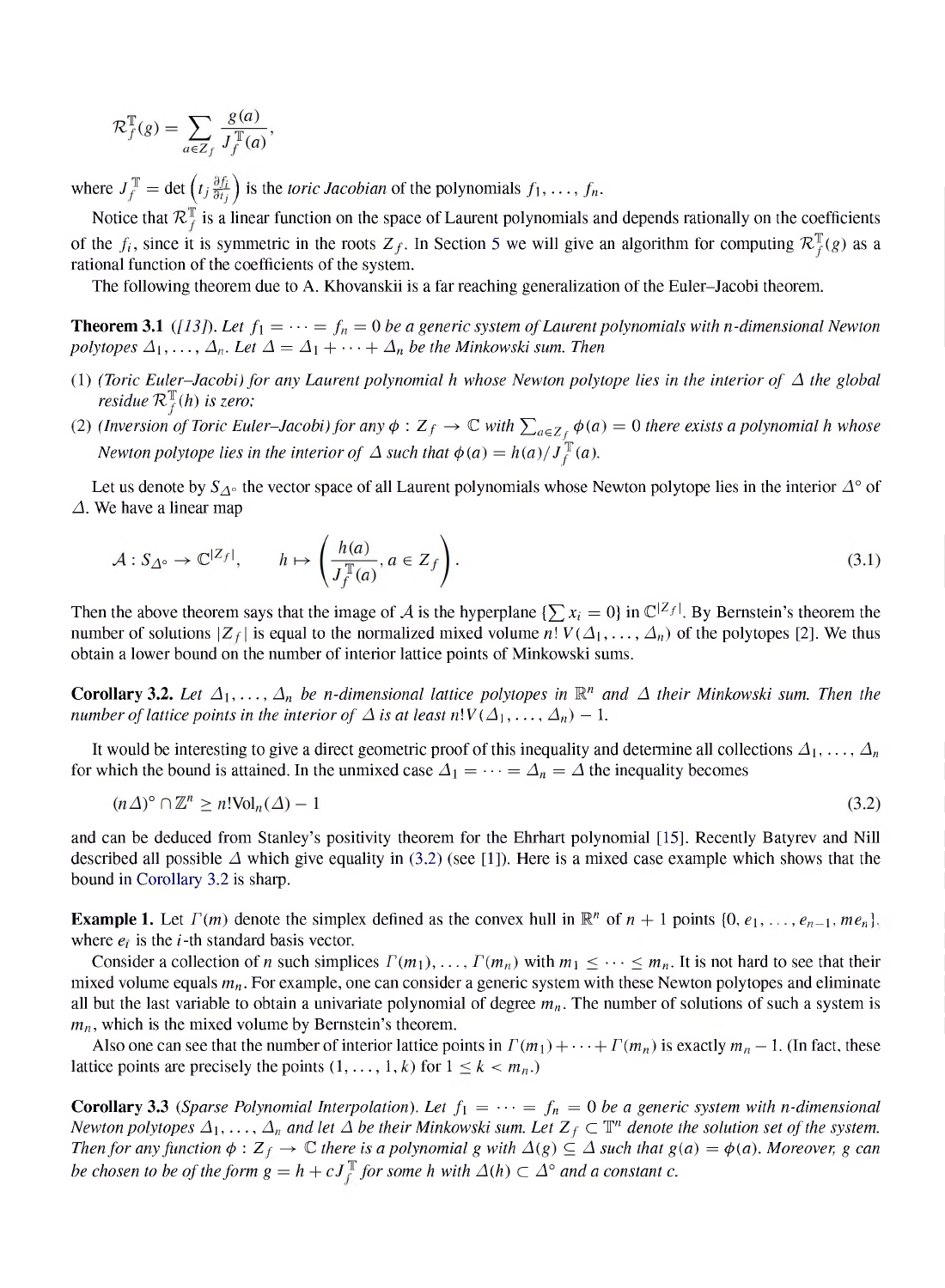$$
\mathcal{R}_f^{\mathbb{T}}(g) = \sum_{a \in Z_f} \frac{g(a)}{J_f^{\mathbb{T}}(a)},
$$

where  $J_f^{\mathbb{T}} = \det \left( t_j \frac{\partial f_i}{\partial t_j} \right)$  is the *toric Jacobian* of the polynomials  $f_1, \ldots, f_n$ .

Notice that  $\mathcal{R}^{\mathbb{T}}_f$  is a linear function on the space of Laurent polynomials and depends rationally on the coefficients of the  $f_i$ , since it is symmetric in the roots  $Z_f$ . In Section 5 we will give an algorithm for computing  $\mathcal{R}_f^{\mathbb{T}}(g)$  as a *rational function of the coefficients of the system.*

*The following theorem due to A. Khovanskii is a far reaching generalization of the Euler-Jacobi theorem.*

**Theorem 3.1** ([13]). Let  $f_1 = \cdots = f_n = 0$  be a generic system of Laurent polynomials with n-dimensional Newton *polytopes*  $\Delta_1, \ldots, \Delta_n$ . Let  $\Delta = \Delta_1 + \cdots + \Delta_n$  be the Minkowski sum. Then

- (1) (Toric Euler-Jacobi) for any Laurent polynomial h whose Newton polytope lies in the interior of  $\Delta$  the global *residue*  $\mathcal{R}_f^{\mathbb{I}}(h)$  *is zero;*
- (2) (Inversion of Toric Euler-Jacobi) for any  $\phi: Z_f \to \mathbb{C}$  with  $\sum_{a \in Z_f} \phi(a) = 0$  there exists a polynomial h whose *Newton polytope lies in the interior of*  $\Delta$  *such that*  $\phi(a) = h(a)/J_f^{\mathbb{T}}(a)$ .

Let us denote by  $S_{\Delta^{\circ}}$  the vector space of all Laurent polynomials whose Newton polytope lies in the interior  $\Delta^{\circ}$  of *. We have a linear map*

$$
\mathcal{A}: S_{\Delta^{\circ}} \to \mathbb{C}^{|Z_f|}, \qquad h \mapsto \left(\frac{h(a)}{J_f^{\mathbb{T}}(a)}, a \in Z_f\right). \tag{3.1}
$$

Then the above theorem says that the image of A is the hyperplane  $\{\sum x_i = 0\}$  in  $\mathbb{C}^{|Z_f|}$ . By Bernstein's theorem the number of solutions  $|Z_f|$  is equal to the normalized mixed volume  $n! V(\Delta_1, ..., \Delta_n)$  of the polytopes [2]. We thus *obtain a lower bound on the number of interior lattice points of Minkowski sums.*

**Corollary 3.2.** Let  $\Delta_1, \ldots, \Delta_n$  be n-dimensional lattice polytopes in  $\mathbb{R}^n$  and  $\Delta$  their Minkowski sum. Then the *number of lattice points in the interior of*  $\Delta$  *is at least*  $n!V(\Delta_1, \ldots, \Delta_n) - 1$ .

It would be interesting to give a direct geometric proof of this inequality and determine all collections  $\Delta_1, \ldots, \Delta_n$ for which the bound is attained. In the unmixed case  $\Delta_1 = \cdots = \Delta_n = \Delta$  the inequality becomes

$$
(n\Delta)^{\circ} \cap \mathbb{Z}^n \ge n! \text{Vol}_n(\Delta) - 1 \tag{3.2}
$$

and can be deduced from Stanley's positivity theorem for the Ehrhart polynomial [15]. Recently Batyrev and Nill described all possible  $\Delta$  which give equality in (3.2) (see [1]). Here is a mixed case example which shows that the *bound in Corollary 3.2 is sharp.*

**Example 1.** Let  $\Gamma(m)$  denote the simplex defined as the convex hull in  $\mathbb{R}^n$  of  $n+1$  points  $\{0, e_1, \ldots, e_{n-1}, me_n\}$ . *where e<sup>i</sup> is the i-th standard basis vector.*

Consider a collection of n such simplices  $\Gamma(m_1), \ldots, \Gamma(m_n)$  with  $m_1 \leq \cdots \leq m_n$ . It is not hard to see that their mixed volume equals  $m_n$ . For example, one can consider a generic system with these Newton polytopes and eliminate all but the last variable to obtain a univariate polynomial of degree  $m_n$ . The number of solutions of such a system is *mn, which is the mixed volume by Bernstein's theorem.*

Also one can see that the number of interior lattice points in  $\Gamma(m_1) + \cdots + \Gamma(m_n)$  is exactly  $m_n - 1$ . (In fact, these *lattice* points are precisely the points  $(1, \ldots, 1, k)$  for  $1 \leq k < m_n$ .)

**Corollary 3.3** (Sparse Polynomial Interpolation). Let  $f_1 = \cdots = f_n = 0$  be a generic system with n-dimensional Newton polytopes  $\Delta_1,\ldots,\Delta_n$  and let  $\Delta$  be their Minkowski sum. Let  $Z_f\subset\mathbb{T}^n$  denote the solution set of the system. Then for any function  $\phi: Z_f \to \mathbb{C}$  there is a polynomial g with  $\Delta(g) \subseteq \Delta$  such that  $g(a) = \phi(a)$ . Moreover, g can be chosen to be of the form  $g = h + cJ_f^T$  for some h with  $\Delta(h) \subset \Delta^{\circ}$  and a constant c.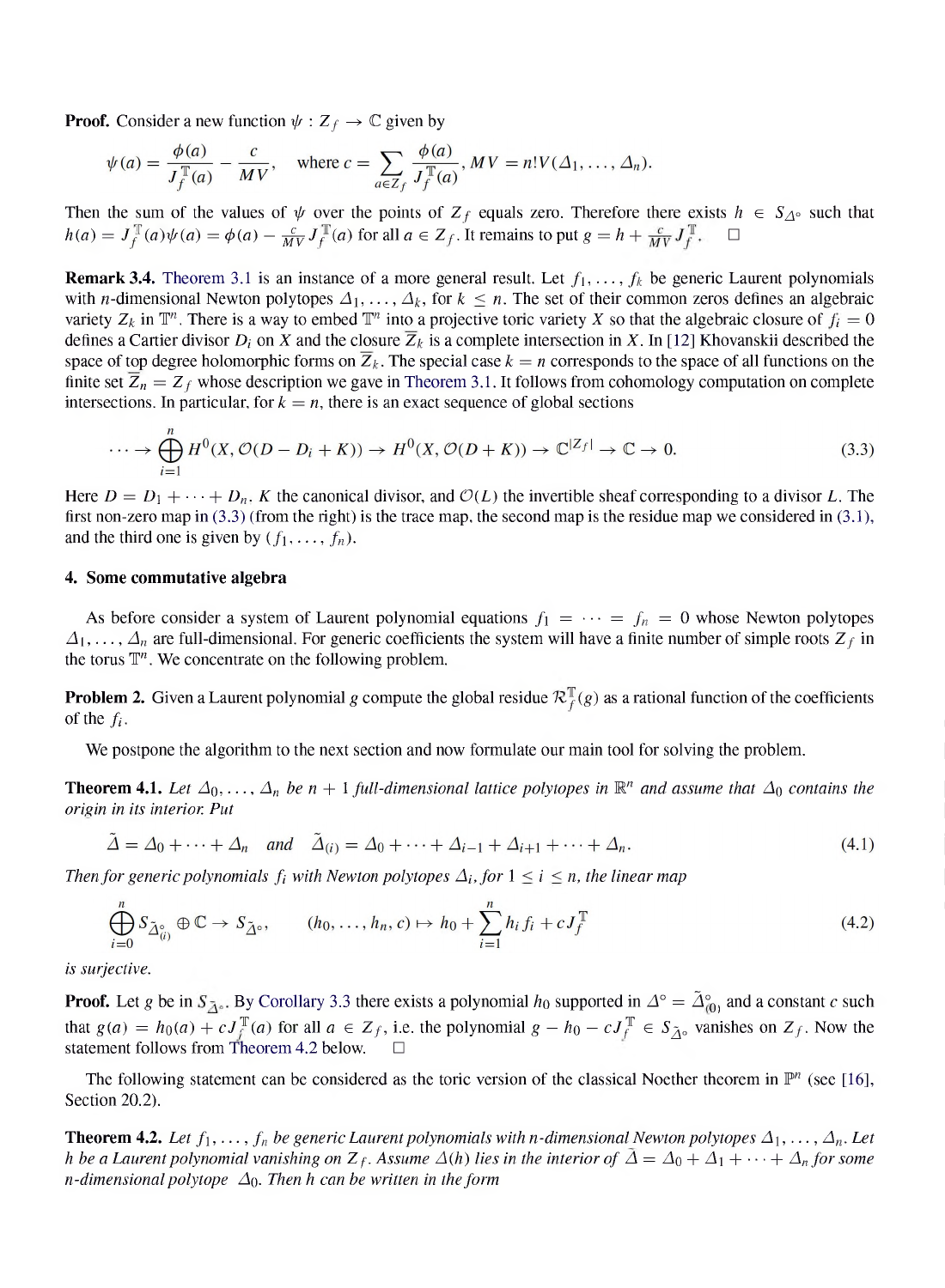**Proof.** Consider a new function  $\psi : Z_f \to \mathbb{C}$  given by

$$
\psi(a) = \frac{\phi(a)}{J_f^{\mathbb{T}}(a)} - \frac{c}{MV}, \quad \text{where } c = \sum_{a \in Z_f} \frac{\phi(a)}{J_f^{\mathbb{T}}(a)}, MV = n!V(\Delta_1,\ldots,\Delta_n).
$$

Then the sum of the values of  $\psi$  over the points of  $Z_f$  equals zero. Therefore there exists  $h \in S_{\Delta^{\circ}}$  such that  $h(a) = J_f^{\mathbb{T}}(a)\psi(a) = \phi(a) - \frac{c}{MV}J_f^{\mathbb{T}}(a)$  for all  $a \in Z_f$ . It remains to put  $g = h + \frac{c}{MV}J_f^{\mathbb{T}}$ .

**Remark 3.4.** Theorem 3.1 is an instance of a more general result. Let  $f_1, \ldots, f_k$  be generic Laurent polynomials with *n*-dimensional Newton polytopes  $\Delta_1, \ldots, \Delta_k$ , for  $k \leq n$ . The set of their common zeros defines an algebraic variety  $Z_k$  in  $\mathbb{T}^n$ . There is a way to embed  $\mathbb{T}^n$  into a projective toric variety X so that the algebraic closure of  $f_i = 0$ defines a Cartier divisor  $D_i$  on X and the closure  $\overline{Z}_k$  is a complete intersection in X. In [12] Khovanskii described the space of top degree holomorphic forms on  $\overline{Z}_k$ . The special case  $k = n$  corresponds to the space of all functions on the finite set  $\overline{Z}_n = Z_f$  whose description we gave in Theorem 3.1. It follows from cohomology computation on complete *intersections.* In particular, for  $k = n$ , there is an exact sequence of global sections

$$
\cdots \to \bigoplus_{i=1}^{n} H^{0}(X, \mathcal{O}(D - D_{i} + K)) \to H^{0}(X, \mathcal{O}(D + K)) \to \mathbb{C}^{|Z_{f}|} \to \mathbb{C} \to 0. \tag{3.3}
$$

Here  $D = D_1 + \cdots + D_n$ , K the canonical divisor, and  $\mathcal{O}(L)$  the invertible sheaf corresponding to a divisor L. The first non-zero map in  $(3.3)$  (from the right) is the trace map, the second map is the residue map we considered in  $(3.1)$ , and the third one is given by  $(f_1, \ldots, f_n)$ .

#### *4. Some commutative algebra*

As before consider a system of Laurent polynomial equations  $f_1 = \cdots = f_n = 0$  whose Newton polytopes  $\Delta_1, \ldots, \Delta_n$  are full-dimensional. For generic coefficients the system will have a finite number of simple roots  $Z_f$  in *the torus Tn. We concentrate on the following problem.*

**Problem 2.** Given a Laurent polynomial g compute the global residue  $\mathcal{R}_f^{\mathbb{T}}(g)$  as a rational function of the coefficients of the  $f_i$ .

We postpone the algorithm to the next section and now formulate our main tool for solving the problem.

**Theorem 4.1.** Let  $\Delta_0, \ldots, \Delta_n$  be  $n + 1$  full-dimensional lattice polytopes in  $\mathbb{R}^n$  and assume that  $\Delta_0$  contains the *origin in its interior. Put*

$$
\tilde{\Delta} = \Delta_0 + \dots + \Delta_n \quad \text{and} \quad \tilde{\Delta}_{(i)} = \Delta_0 + \dots + \Delta_{i-1} + \Delta_{i+1} + \dots + \Delta_n. \tag{4.1}
$$

*Then for generic polynomials f<sub>i</sub>* with *Newton polytopes*  $\Delta_i$ *, for*  $1 \leq i \leq n$ *, the linear map* 

$$
\bigoplus_{i=0}^{n} S_{\tilde{\Delta}_{(i)}^{o}} \oplus \mathbb{C} \to S_{\tilde{\Delta}^{o}}, \qquad (h_0, \dots, h_n, c) \mapsto h_0 + \sum_{i=1}^{n} h_i f_i + c J_f^{\mathbb{T}} \tag{4.2}
$$

*is surjective.*

**Proof.** Let g be in  $S_{\overline{\Delta}^{\circ}}$ . By Corollary 3.3 there exists a polynomial  $h_0$  supported in  $\Delta^{\circ} = \tilde{\Delta}^{\circ}_{(0)}$  and a constant c such that  $g(a) = h_0(a) + cJ_f^{\mathbb{T}}(a)$  for all  $a \in Z_f$ , i.e. the polynomial  $g - h_0 - cJ_f^{\mathbb{T}} \in S_{\tilde{\Lambda}^0}$  vanishes on  $Z_f$ . Now the *statement follows from Theorem 4.2 below.*  $\Box$ 

The following statement can be considered as the toric version of the classical Noether theorem in  $\mathbb{P}^n$  (see [16], *Section 20.2).*

**Theorem 4.2.** Let  $f_1, \ldots, f_n$  be generic Laurent polynomials with n-dimensional Newton polytopes  $\Delta_1, \ldots, \Delta_n$ . Let h be a Laurent polynomial vanishing on  $Z_f$ . Assume  $\Delta(h)$  lies in the interior of  $\bar{\Delta} = \Delta_0 + \Delta_1 + \cdots + \Delta_n$  for some *n*-dimensional polytope  $\Delta_0$ . Then *h* can be written in the form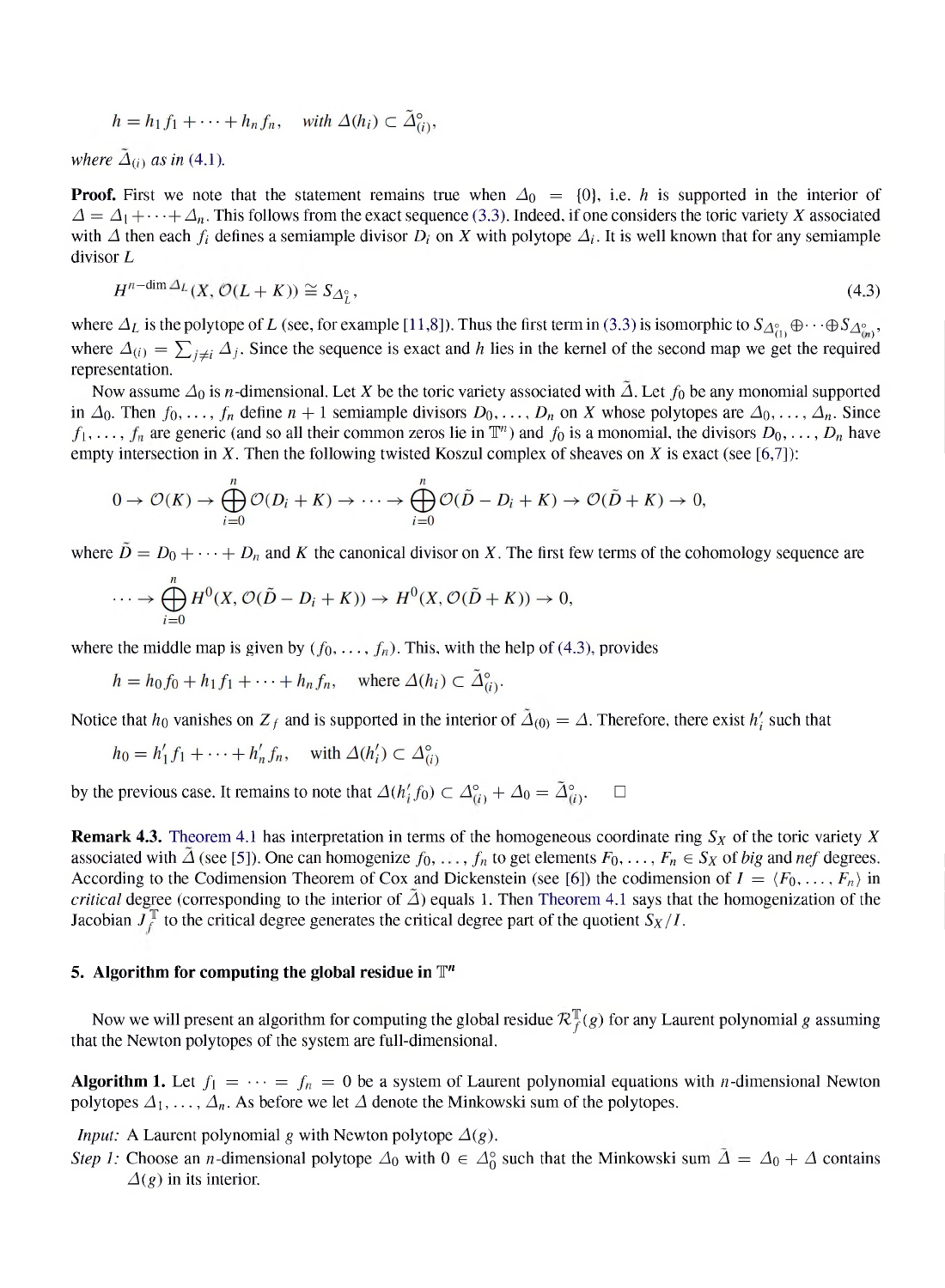$$
h = h_1 f_1 + \cdots + h_n f_n
$$
, with  $\Delta(h_i) \subset \tilde{\Delta}_{(i)}^{\circ}$ ,

*where*  $\tilde{\Delta}_{(i)}$  *as in* (4.1).

**Proof.** First we note that the statement remains true when  $\Delta_0 = \{0\}$ , i.e. h is supported in the interior of  $\Delta = \Delta_1 + \cdots + \Delta_n$ . This follows from the exact sequence (3.3). Indeed, if one considers the toric variety X associated with  $\Delta$  then each  $f_i$  defines a semiample divisor  $D_i$  on X with polytope  $\Delta_i$ . It is well known that for any semiample *divisor L*

$$
H^{n-\dim\Delta_L}(X,\mathcal{O}(L+K)) \cong S_{\Delta_I^{\circ}},\tag{4.3}
$$

where  $\Delta_L$  is the polytope of L (see, for example [11,8]). Thus the first term in (3.3) is isomorphic to  $S_{\Delta_{(1)}^{\circ}}\oplus\cdots\oplus S_{\Delta_{(n)}^{\circ}}$ , where  $\Delta(i) = \sum_{j \neq i} \Delta_j$ . Since the sequence is exact and h lies in the kernel of the second map we get the required *representation.*

Now assume  $\Delta_0$  is *n*-dimensional. Let X be the toric variety associated with  $\tilde{\Delta}$ . Let  $f_0$  be any monomial supported in  $\Delta_0$ . Then  $f_0, \ldots, f_n$  define  $n+1$  semiample divisors  $D_0, \ldots, D_n$  on X whose polytopes are  $\Delta_0, \ldots, \Delta_n$ . Since  $f_1, \ldots, f_n$  are generic (and so all their common zeros lie in  $\mathbb{T}^n$ ) and  $f_0$  is a monomial, the divisors  $D_0, \ldots, D_n$  have empty intersection in  $X$ . Then the following twisted Koszul complex of sheaves on  $X$  is exact (see [6,7]):

$$
0 \to \mathcal{O}(K) \to \bigoplus_{i=0}^{n} \mathcal{O}(D_i + K) \to \cdots \to \bigoplus_{i=0}^{n} \mathcal{O}(\tilde{D} - D_i + K) \to \mathcal{O}(\tilde{D} + K) \to 0,
$$

where  $\tilde{D} = D_0 + \cdots + D_n$  and K the canonical divisor on X. The first few terms of the cohomology sequence are

$$
\cdots \to \bigoplus_{i=0}^n H^0(X, \mathcal{O}(\tilde{D} - D_i + K)) \to H^0(X, \mathcal{O}(\tilde{D} + K)) \to 0,
$$

where the middle map is given by  $(f_0, \ldots, f_n)$ . This, with the help of (4.3), provides

$$
h = h_0 f_0 + h_1 f_1 + \cdots + h_n f_n
$$
, where  $\Delta(h_i) \subset \Delta_{(i)}^{\circ}$ .

Notice that  $h_0$  vanishes on  $Z_f$  and is supported in the interior of  $\tilde{\Delta}_{(0)} = \Delta$ . Therefore, there exist  $h'_i$  such that

$$
h_0 = h'_1 f_1 + \dots + h'_n f_n, \quad \text{with } \Delta(h'_i) \subset \Delta_{(i)}^{\circ}
$$

by the previous case. It remains to note that  $\Delta(h'_i f_0) \subset \Delta_{(i)}^{\circ} + \Delta_0 = \tilde{\Delta}_{(i)}^{\circ}$ .  $\Box$ 

**Remark 4.3.** Theorem 4.1 has interpretation in terms of the homogeneous coordinate ring  $S_X$  of the toric variety X associated with  $\Delta$  (see [5]). One can homogenize  $f_0, \ldots, f_n$  to get elements  $F_0, \ldots, F_n \in S_X$  of big and nef degrees. According to the Codimension Theorem of Cox and Dickenstein (see [6]) the codimension of  $I = \langle F_0, \ldots, F_n \rangle$  in *critical* degree (corresponding to the interior of  $\overline{\Delta}$ ) equals 1. Then Theorem 4.1 says that the homogenization of the *Jacobian*  $J_f^T$  *to the critical degree generates the critical degree part of the quotient*  $S_X/I$ .

### *5. Algorithm for computing the global residue in <sup>T</sup>n*

Now we will present an algorithm for computing the global residue  $\mathcal{R}_f^{\mathbb{T}}(g)$  for any Laurent polynomial g assuming *that the Newton polytopes of the system are full-dimensional.*

**Algorithm 1.** Let  $f_1 = \cdots = f_n = 0$  be a system of Laurent polynomial equations with *n*-dimensional Newton *polytopes*  $\Delta_1, \ldots, \Delta_n$ . As before we let  $\Delta$  denote the Minkowski sum of the polytopes.

*Input:* A Laurent polynomial *g* with Newton polytope  $\Delta(g)$ .

*Step 1*: Choose an *n*-dimensional polytope  $\Delta_0$  with  $0 \in \Delta_0^{\circ}$  such that the Minkowski sum  $\Delta = \Delta_0 + \Delta$  contains  $\Delta(g)$  *in its interior.*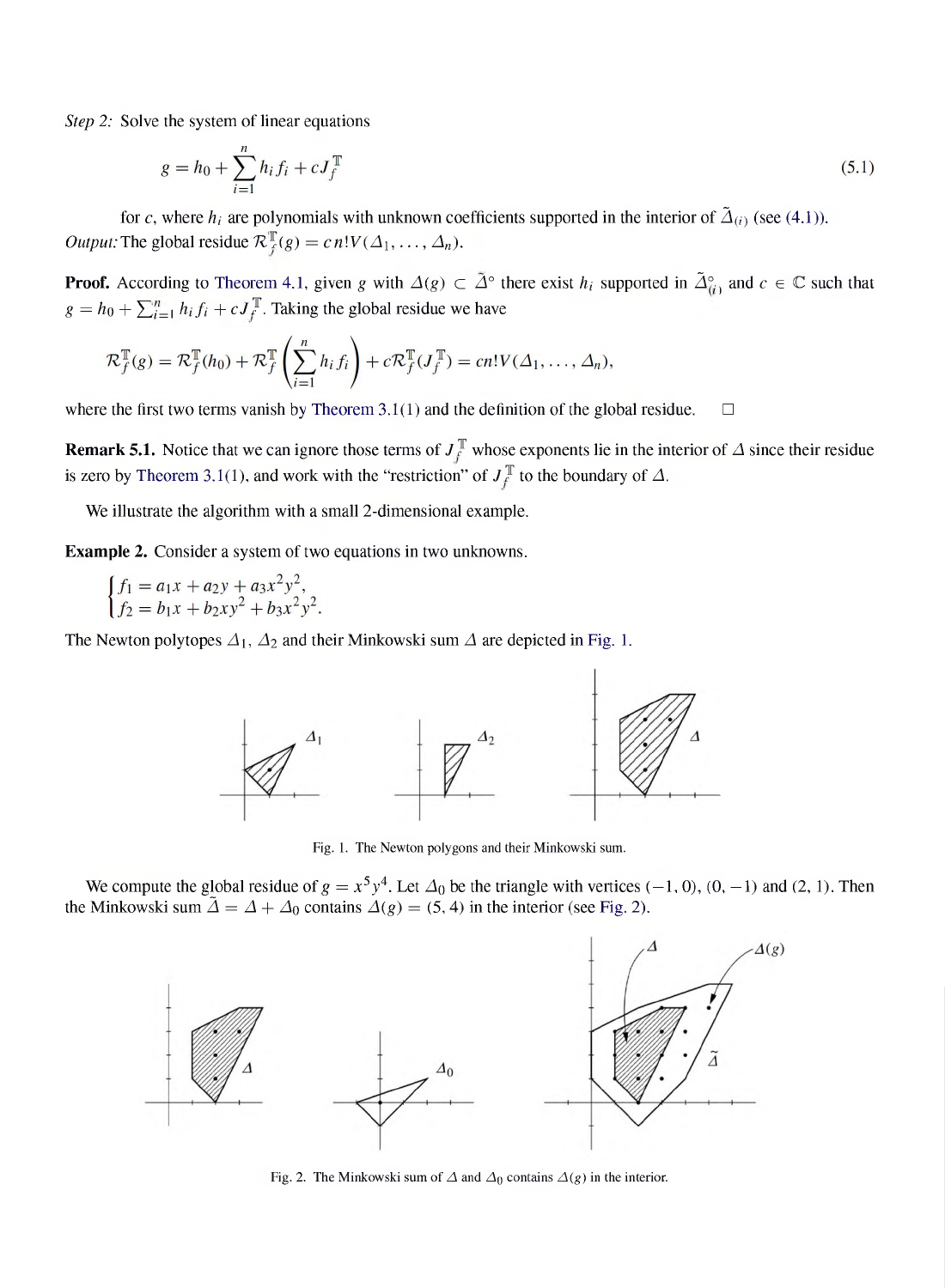*Step 2: Solve the system of linear equations*

$$
g = h_0 + \sum_{i=1}^{n} h_i f_i + c J_f^{\mathbb{T}}
$$
\n(5.1)

for c, where  $h_i$  are polynomials with unknown coefficients supported in the interior of  $\tilde{\Delta}_{(i)}$  (see (4.1)). *Output:* The global residue  $\mathcal{R}_f^{\mathbb{T}}(g) = c n! V(\Delta_1, \ldots, \Delta_n)$ *.* 

**Proof.** According to Theorem 4.1, given g with  $\Delta(g) \subset \tilde{\Delta}^{\circ}$  there exist  $h_i$  supported in  $\tilde{\Delta}_{(i)}^{\circ}$  and  $c \in \mathbb{C}$  such that  $g = h_0 + \sum_{i=1}^n h_i f_i + c J_f^T$ . Taking the global residue we have

$$
\mathcal{R}_f^{\mathbb{T}}(g) = \mathcal{R}_f^{\mathbb{T}}(h_0) + \mathcal{R}_f^{\mathbb{T}}\left(\sum_{i=1}^n h_i f_i\right) + c \mathcal{R}_f^{\mathbb{T}}(J_f^{\mathbb{T}}) = cn!V(\Delta_1, \ldots, \Delta_n),
$$

*where the first two terms vanish by Theorem 3.1(1) and the definition of the global residue.*  $\Box$ 

**Remark 5.1.** Notice that we can ignore those terms of  $J_f^T$  whose exponents lie in the interior of  $\Delta$  since their residue is zero by Theorem 3.1(1), and work with the "restriction" of  $J_f^{\mathbb{T}}$  to the boundary of  $\Delta$ .

*We illustrate the algorithm with a small 2-dimensional example.*

*Example 2. Consider a system of two equations in two unknowns.*

 $\begin{cases} f_1 = a_1x + a_2y + a_3x^2y^2, \\ f_2 = b_1x + b_2xy^2 + b_3x^2y^2. \end{cases}$ 

*The* Newton polytopes  $\Delta_1$ ,  $\Delta_2$  and their Minkowski sum  $\Delta$  are depicted in Fig. 1.



*Fig. 1. The Newton polygons and their Minkowski sum.*

We compute the global residue of  $g = x^5y^4$ . Let  $\Delta_0$  be the triangle with vertices (-1, 0), (0, -1) and (2, 1). Then *the Minkowski* sum  $\tilde{\Delta} = \Delta + \Delta_0$  contains  $\Delta(g) = (5, 4)$  in the interior (see Fig. 2).



*Fig.* 2. The Minkowski sum of  $\Delta$  and  $\Delta_0$  contains  $\Delta(g)$  in the interior.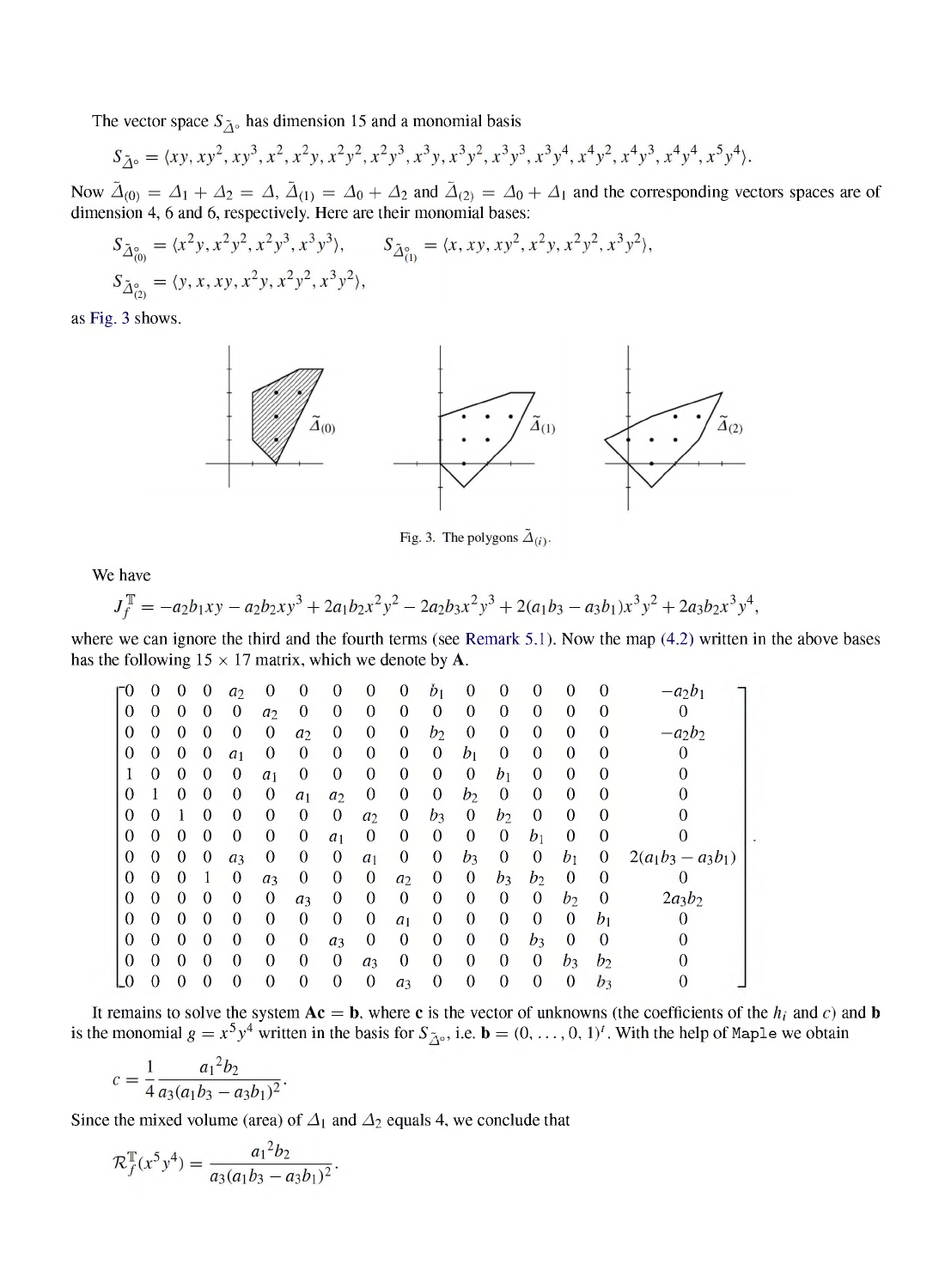The vector space  $S_{\tilde{A}^{\circ}}$  has dimension 15 and a monomial basis

$$
S_{\tilde{\Delta}^{\circ}} = \langle xy, xy^2, xy^3, x^2, x^2y, x^2y^2, x^2y^3, x^3y, x^3y^2, x^3y^3, x^3y^4, x^4y^2, x^4y^3, x^4y^4, x^5y^4 \rangle.
$$

Now  $\tilde{\Delta}_{(0)} = \Delta_1 + \Delta_2 = \Delta$ ,  $\tilde{\Delta}_{(1)} = \Delta_0 + \Delta_2$  and  $\tilde{\Delta}_{(2)} = \Delta_0 + \Delta_1$  and the corresponding vectors spaces are of *dimension 4, 6 and 6, respectively. Here are their monomial bases:*

$$
S_{\tilde{\Delta}_{(0)}^0} = \langle x^2y, x^2y^2, x^2y^3, x^3y^3 \rangle, \qquad S_{\tilde{\Delta}_{(1)}^0} = \langle x, xy, xy^2, x^2y, x^2y^2, x^3y^2 \rangle,
$$
  
\n
$$
S_{\tilde{\Delta}_{(2)}^0} = \langle y, x, xy, x^2y, x^2y^2, x^3y^2 \rangle,
$$

*as Fig. 3 shows.*



Fig. 3. The polygons  $\tilde{\Delta}_{(i)}$ .

*We have*

$$
J_f^{\mathbb{T}} = -a_2b_1xy - a_2b_2xy^3 + 2a_1b_2x^2y^2 - 2a_2b_3x^2y^3 + 2(a_1b_3 - a_3b_1)x^3y^2 + 2a_3b_2x^3y^4,
$$

where we can ignore the third and the fourth terms (see Remark 5.1). Now the map (4.2) written in the above bases *has* the following  $15 \times 17$  *matrix,* which we denote by **A**.

| г0       | 0        | 0        | 0                | a <sub>2</sub> | 0              | 0              | $\theta$       | 0                | 0              | Ď١    | 0            | 0        | 0              | 0        |          | aob                  |  |
|----------|----------|----------|------------------|----------------|----------------|----------------|----------------|------------------|----------------|-------|--------------|----------|----------------|----------|----------|----------------------|--|
| 0        | 0        | $\Omega$ | 0                | 0              | a <sub>2</sub> | 0              | 0              | 0                | 0              | 0     | 0            | 0        | 0              | 0        |          |                      |  |
| 0        | 0        | 0        | 0                | 0              | 0              | a <sub>2</sub> | $\theta$       | 0                | $\theta$       | $b_2$ | 0            | $\Omega$ | $\theta$       | 0        |          | $-a_2b_2$            |  |
| $\theta$ | $\Omega$ | 0        | $\theta$         | a <sub>1</sub> | 0              | $\theta$       | $\theta$       | 0                | $\theta$       | 0     | $b_1$        | 0        | 0              | 0        | 0        |                      |  |
|          | 0        | 0        | 0                | 0              | a <sub>1</sub> | 0              | $\theta$       | $\theta$         | $\theta$       | 0     | $\theta$     | $b_1$    | 0              | $\theta$ | 0        |                      |  |
| 0        |          | 0        | 0                | 0              | $\theta$       | a <sub>1</sub> | $a_2$          | 0                | 0              | 0     | $b_2$        | $\theta$ | 0              | 0        |          |                      |  |
| $\Omega$ | 0        |          | $\Omega$         | 0              | 0              | 0              | $\theta$       | a <sub>2</sub>   | 0              | b٦    | 0            | b2       | 0              | 0        | 0        |                      |  |
| 0        | $\Omega$ | $\Omega$ | 0                | $\theta$       | $\overline{0}$ | $\theta$       | a <sub>1</sub> | $\theta$         | 0              | 0     | $\theta$     | $\theta$ | $b_1$          | 0        | 0        |                      |  |
| 0        | 0        | 0        | 0                | $a_3$          | $\theta$       | 0              | $\theta$       | a <sub>1</sub>   | 0              | 0     | $b_3$        | $\theta$ | 0              | $b_1$    | 0        | $2(a_1b_3 - a_3b_1)$ |  |
| 0        | $\Omega$ | 0        |                  | $\theta$       | a <sub>3</sub> | 0              | $\theta$       | $\theta$         | a <sub>2</sub> | 0     | 0            | $b_3$    | $b_2$          | 0        | $\Omega$ |                      |  |
| $\Omega$ | $\theta$ | 0        | 0                | $\theta$       | 0              | $a_3$          | 0              | 0                | $\theta$       | 0     | $\theta$     | $\theta$ | $\theta$       | $b_2$    |          | $2a_3b_2$            |  |
| $\theta$ | $\Omega$ | $\Omega$ | $\Omega$         | $\theta$       | 0              | $\theta$       | $\theta$       | 0                | a <sub>1</sub> | 0     | $\theta$     | $\theta$ | $\theta$       | $\theta$ | $b_1$    |                      |  |
| $\Omega$ | $\theta$ | 0        | 0                | 0              | 0              | $\theta$       | a <sub>3</sub> | 0                | $\theta$       | 0     | $\theta$     | $\theta$ | $b_3$          | 0        | 0        |                      |  |
| $\Omega$ | $\Omega$ | $\Omega$ | $\Omega$         | $\theta$       | 0              | $\theta$       | $\theta$       | a <sub>3</sub>   | $\theta$       | 0     | $\theta$     | $\theta$ | $\overline{0}$ | $b_3$    | b        |                      |  |
| L0       | 0        | 0        | $\boldsymbol{0}$ | 0              | 0              | $\theta$       | $\theta$       | $\boldsymbol{0}$ | a <sub>3</sub> | 0     | $\mathbf{0}$ | $\theta$ | 0              | 0        | b٦       | 0                    |  |

It remains to solve the system  $A\mathbf{c} = \mathbf{b}$ , where c is the vector of unknowns (the coefficients of the  $h_i$  and c) and b is the monomial  $g = x^5y^4$  written in the basis for  $S_{\tilde{A}^0}$ , i.e.  $\mathbf{b} = (0, \dots, 0, 1)^t$ . With the help of Maple we obtain

$$
c = \frac{1}{4} \frac{a_1^2 b_2}{a_3(a_1 b_3 - a_3 b_1)^2}.
$$

Since the mixed volume (area) of  $\Delta_1$  and  $\Delta_2$  equals 4, we conclude that

$$
\mathcal{R}_f^{\mathbb{T}}(x^5y^4) = \frac{a_1^2b_2}{a_3(a_1b_3 - a_3b_1)^2}.
$$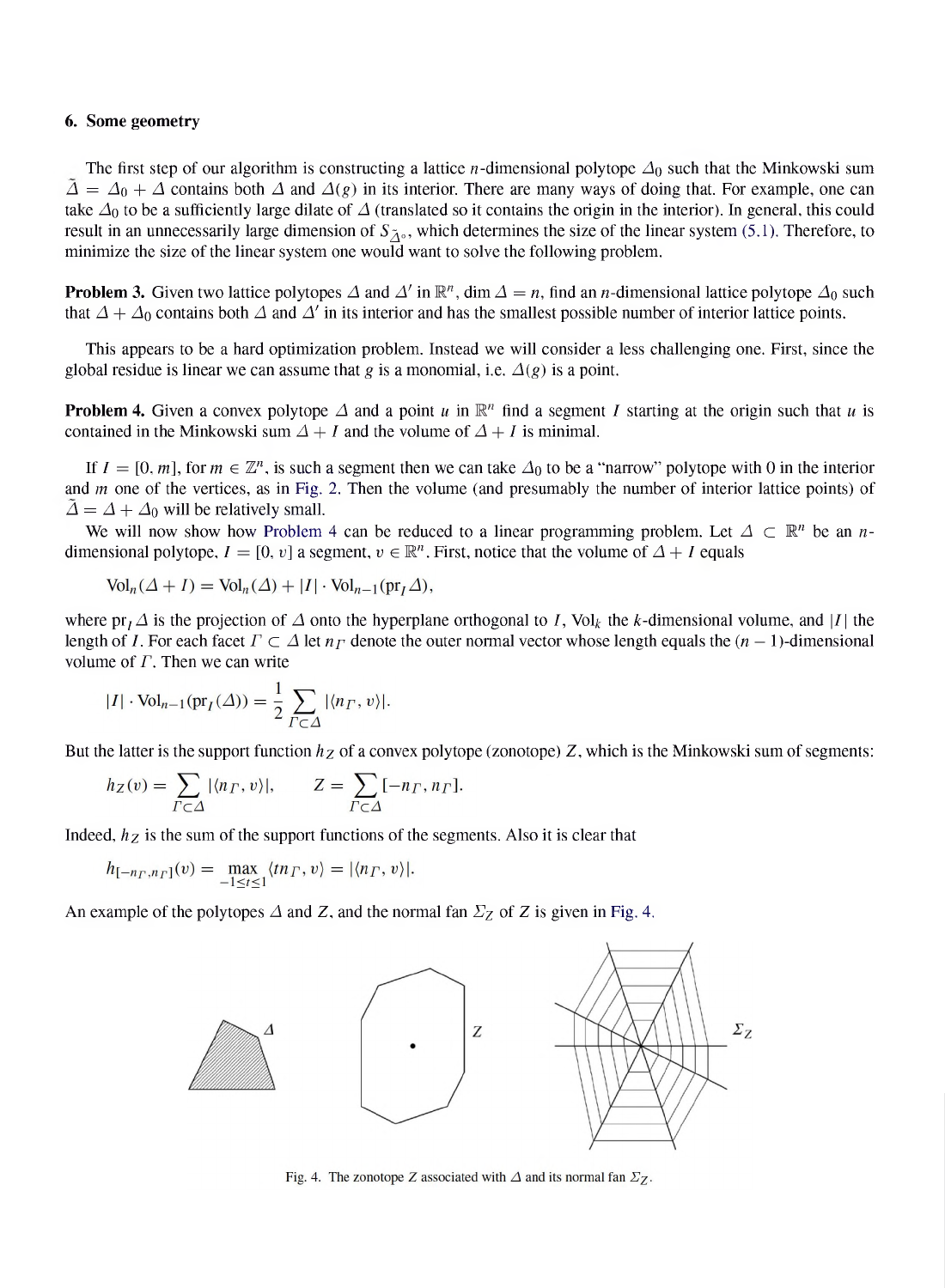#### *6. Some geometry*

The first step of our algorithm is constructing a lattice *n*-dimensional polytope  $\Delta_0$  such that the Minkowski sum  $\tilde{\Delta} = \Delta_0 + \Delta$  contains both  $\Delta$  and  $\Delta(g)$  in its interior. There are many ways of doing that. For example, one can take  $\Delta_0$  to be a sufficiently large dilate of  $\Delta$  (translated so it contains the origin in the interior). In general, this could result in an unnecessarily large dimension of  $S_{\tilde{\Lambda}^0}$ , which determines the size of the linear system (5.1). Therefore, to *minimize the size of the linear system one would want to solve the following problem.*

**Problem 3.** Given two lattice polytopes  $\Delta$  and  $\Delta'$  in  $\mathbb{R}^n$ , dim  $\Delta = n$ , find an *n*-dimensional lattice polytope  $\Delta_0$  such that  $\Delta + \Delta_0$  contains both  $\Delta$  and  $\Delta'$  in its interior and has the smallest possible number of interior lattice points.

This appears to be a hard optimization problem. Instead we will consider a less challenging one. First, since the *global residue* is linear we can assume that *g* is a monomial, i.e.  $\Delta(g)$  is a point.

**Problem 4.** Given a convex polytope  $\Delta$  and a point u in  $\mathbb{R}^n$  find a segment I starting at the origin such that u is *contained* in the Minkowski sum  $\Delta + I$  and the volume of  $\Delta + I$  is minimal.

If  $I = [0, m]$ , for  $m \in \mathbb{Z}^n$ , is such a segment then we can take  $\Delta_0$  to be a "narrow" polytope with 0 in the interior and  $m$  one of the vertices, as in Fig. 2. Then the volume (and presumably the number of interior lattice points) of  $\Delta = \Delta + \Delta_0$  will be relatively small.

We will now show how Problem 4 can be reduced to a linear programming problem. Let  $\Delta \subset \mathbb{R}^n$  be an *n*dimensional polytope,  $I = [0, v]$  a segment,  $v \in \mathbb{R}^n$ . First, notice that the volume of  $\Delta + I$  equals

$$
\text{Vol}_n(\Delta + I) = \text{Vol}_n(\Delta) + |I| \cdot \text{Vol}_{n-1}(\text{pr}_I \Delta),
$$

where  $pr_1 \Delta$  is the projection of  $\Delta$  onto the hyperplane orthogonal to I, Vol<sub>k</sub> the k-dimensional volume, and |I| the length of *I*. For each facet  $\Gamma \subset \Delta$  let  $n_{\Gamma}$  denote the outer normal vector whose length equals the  $(n-1)$ -dimensional *volume* of  $\Gamma$ . Then we can write

$$
|I| \cdot \text{Vol}_{n-1}(\text{pr}_I(\Delta)) = \frac{1}{2} \sum_{\Gamma \subset \Delta} |\langle n_\Gamma, v \rangle|.
$$

But the latter is the support function  $h<sub>Z</sub>$  of a convex polytope (zonotope) Z, which is the Minkowski sum of segments:

$$
h_Z(v) = \sum_{\Gamma \subset \Delta} |\langle n_{\Gamma}, v \rangle|, \qquad Z = \sum_{\Gamma \subset \Delta} [-n_{\Gamma}, n_{\Gamma}].
$$

*Indeed, hz is the sum of the support functions of the segments. Also it is clear that*

$$
h_{[-n_{\Gamma},n_{\Gamma}]}(v) = \max_{-1 \leq t \leq 1} \langle t n_{\Gamma}, v \rangle = |\langle n_{\Gamma}, v \rangle|.
$$

An example of the polytopes  $\triangle$  and  $\angle$ , and the normal fan  $\Sigma$ <sub>Z</sub> of  $\angle$  *Z* is given in Fig. 4.



Fig. 4. The zonotope Z associated with  $\Delta$  and its normal fan  $\Sigma_Z$ .